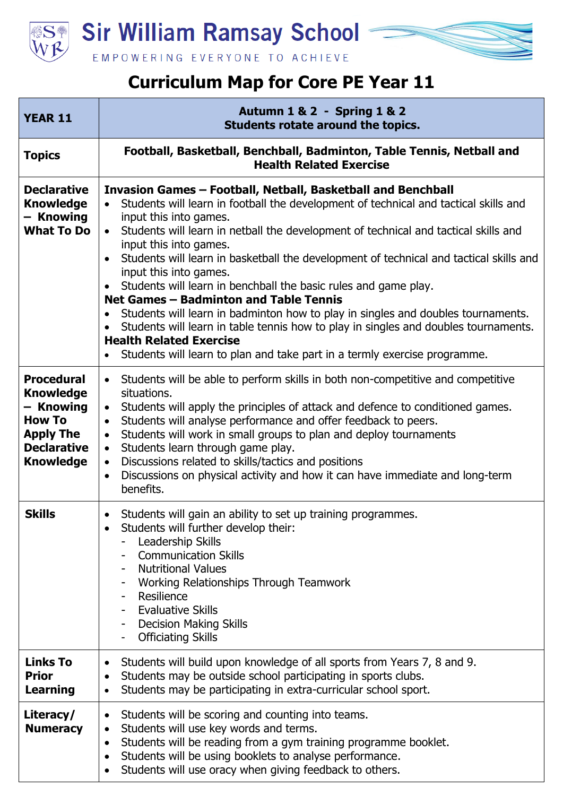

**Sir William Ramsay School -**



## **Curriculum Map for Core PE Year 11**

| <b>YEAR 11</b>                                                                                                                    | <b>Autumn 1 &amp; 2 - Spring 1 &amp; 2</b><br>Students rotate around the topics.                                                                                                                                                                                                                                                                                                                                                                                                                                                                                                                                                                                                                                                                                                                                                                                                            |
|-----------------------------------------------------------------------------------------------------------------------------------|---------------------------------------------------------------------------------------------------------------------------------------------------------------------------------------------------------------------------------------------------------------------------------------------------------------------------------------------------------------------------------------------------------------------------------------------------------------------------------------------------------------------------------------------------------------------------------------------------------------------------------------------------------------------------------------------------------------------------------------------------------------------------------------------------------------------------------------------------------------------------------------------|
| <b>Topics</b>                                                                                                                     | Football, Basketball, Benchball, Badminton, Table Tennis, Netball and<br><b>Health Related Exercise</b>                                                                                                                                                                                                                                                                                                                                                                                                                                                                                                                                                                                                                                                                                                                                                                                     |
| <b>Declarative</b><br><b>Knowledge</b><br>- Knowing<br><b>What To Do</b>                                                          | Invasion Games - Football, Netball, Basketball and Benchball<br>Students will learn in football the development of technical and tactical skills and<br>$\bullet$<br>input this into games.<br>Students will learn in netball the development of technical and tactical skills and<br>$\bullet$<br>input this into games.<br>Students will learn in basketball the development of technical and tactical skills and<br>$\bullet$<br>input this into games.<br>Students will learn in benchball the basic rules and game play.<br>Net Games - Badminton and Table Tennis<br>Students will learn in badminton how to play in singles and doubles tournaments.<br>$\bullet$<br>Students will learn in table tennis how to play in singles and doubles tournaments.<br>$\bullet$<br><b>Health Related Exercise</b><br>Students will learn to plan and take part in a termly exercise programme. |
| <b>Procedural</b><br><b>Knowledge</b><br>- Knowing<br><b>How To</b><br><b>Apply The</b><br><b>Declarative</b><br><b>Knowledge</b> | Students will be able to perform skills in both non-competitive and competitive<br>$\bullet$<br>situations.<br>Students will apply the principles of attack and defence to conditioned games.<br>$\bullet$<br>Students will analyse performance and offer feedback to peers.<br>$\bullet$<br>Students will work in small groups to plan and deploy tournaments<br>$\bullet$<br>Students learn through game play.<br>$\bullet$<br>Discussions related to skills/tactics and positions<br>$\bullet$<br>Discussions on physical activity and how it can have immediate and long-term<br>$\bullet$<br>benefits.                                                                                                                                                                                                                                                                                 |
| <b>Skills</b>                                                                                                                     | Students will gain an ability to set up training programmes.<br>$\bullet$<br>Students will further develop their:<br>Leadership Skills<br><b>Communication Skills</b><br><b>Nutritional Values</b><br>Working Relationships Through Teamwork<br>Resilience<br><b>Evaluative Skills</b><br><b>Decision Making Skills</b><br><b>Officiating Skills</b>                                                                                                                                                                                                                                                                                                                                                                                                                                                                                                                                        |
| Links To<br><b>Prior</b><br><b>Learning</b>                                                                                       | Students will build upon knowledge of all sports from Years 7, 8 and 9.<br>$\bullet$<br>Students may be outside school participating in sports clubs.<br>$\bullet$<br>Students may be participating in extra-curricular school sport.<br>$\bullet$                                                                                                                                                                                                                                                                                                                                                                                                                                                                                                                                                                                                                                          |
| Literacy/<br><b>Numeracy</b>                                                                                                      | Students will be scoring and counting into teams.<br>$\bullet$<br>Students will use key words and terms.<br>$\bullet$<br>Students will be reading from a gym training programme booklet.<br>$\bullet$<br>Students will be using booklets to analyse performance.<br>Students will use oracy when giving feedback to others.<br>$\bullet$                                                                                                                                                                                                                                                                                                                                                                                                                                                                                                                                                    |